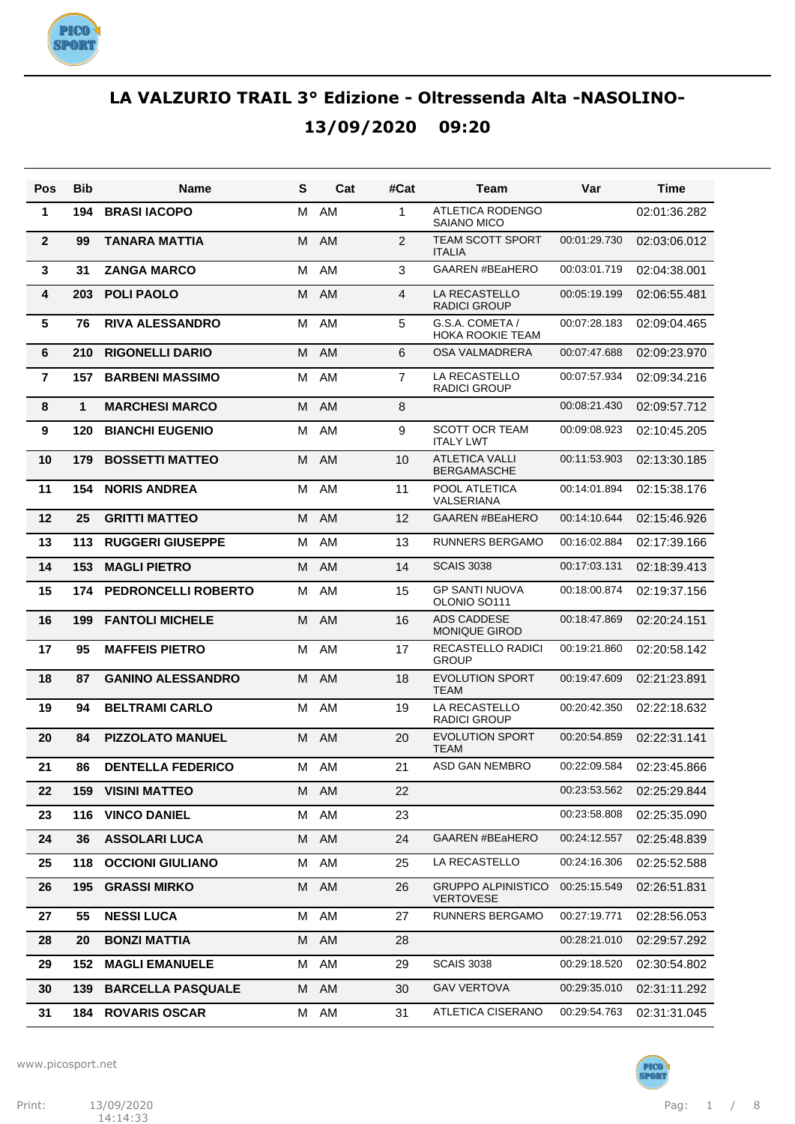

| Pos             | <b>Bib</b>   | <b>Name</b>              | S | Cat       | #Cat           | Team                                          | Var          | Time         |
|-----------------|--------------|--------------------------|---|-----------|----------------|-----------------------------------------------|--------------|--------------|
| 1               | 194          | <b>BRASI IACOPO</b>      | М | AM        | 1              | <b>ATLETICA RODENGO</b><br><b>SAIANO MICO</b> |              | 02:01:36.282 |
| $\overline{2}$  | 99           | <b>TANARA MATTIA</b>     | M | <b>AM</b> | 2              | TEAM SCOTT SPORT<br><b>ITALIA</b>             | 00:01:29.730 | 02:03:06.012 |
| 3               | 31           | <b>ZANGA MARCO</b>       | M | AM        | 3              | <b>GAAREN #BEaHERO</b>                        | 00:03:01.719 | 02:04:38.001 |
| 4               | 203          | <b>POLI PAOLO</b>        | М | AM        | 4              | LA RECASTELLO<br><b>RADICI GROUP</b>          | 00:05:19.199 | 02:06:55.481 |
| $5\phantom{.0}$ | 76           | <b>RIVA ALESSANDRO</b>   | М | AM        | 5              | G.S.A. COMETA /<br><b>HOKA ROOKIE TEAM</b>    | 00:07:28.183 | 02:09:04.465 |
| 6               | 210          | <b>RIGONELLI DARIO</b>   | M | <b>AM</b> | 6              | OSA VALMADRERA                                | 00:07:47.688 | 02:09:23.970 |
| $\overline{7}$  | 157          | <b>BARBENI MASSIMO</b>   | м | AM        | $\overline{7}$ | LA RECASTELLO<br><b>RADICI GROUP</b>          | 00:07:57.934 | 02:09:34.216 |
| 8               | $\mathbf{1}$ | <b>MARCHESI MARCO</b>    | M | AM        | 8              |                                               | 00:08:21.430 | 02:09:57.712 |
| 9               | 120          | <b>BIANCHI EUGENIO</b>   | M | AM        | 9              | <b>SCOTT OCR TEAM</b><br><b>ITALY LWT</b>     | 00:09:08.923 | 02:10:45.205 |
| 10              | 179          | <b>BOSSETTI MATTEO</b>   | М | <b>AM</b> | 10             | <b>ATLETICA VALLI</b><br><b>BERGAMASCHE</b>   | 00:11:53.903 | 02:13:30.185 |
| 11              | 154          | <b>NORIS ANDREA</b>      | M | AM        | 11             | POOL ATLETICA<br>VALSERIANA                   | 00:14:01.894 | 02:15:38.176 |
| 12              | 25           | <b>GRITTI MATTEO</b>     | M | AM        | 12             | <b>GAAREN #BEaHERO</b>                        | 00:14:10.644 | 02:15:46.926 |
| 13              | 113          | <b>RUGGERI GIUSEPPE</b>  | M | AM        | 13             | <b>RUNNERS BERGAMO</b>                        | 00:16:02.884 | 02:17:39.166 |
| 14              | 153          | <b>MAGLI PIETRO</b>      | м | <b>AM</b> | 14             | <b>SCAIS 3038</b>                             | 00:17:03.131 | 02:18:39.413 |
| 15              | 174          | PEDRONCELLI ROBERTO      | M | AM        | 15             | <b>GP SANTI NUOVA</b><br>OLONIO SO111         | 00:18:00.874 | 02:19:37.156 |
| 16              | 199          | <b>FANTOLI MICHELE</b>   | M | <b>AM</b> | 16             | <b>ADS CADDESE</b><br><b>MONIQUE GIROD</b>    | 00:18:47.869 | 02:20:24.151 |
| 17              | 95           | <b>MAFFEIS PIETRO</b>    | M | AM        | 17             | RECASTELLO RADICI<br><b>GROUP</b>             | 00:19:21.860 | 02:20:58.142 |
| 18              | 87           | <b>GANINO ALESSANDRO</b> | М | <b>AM</b> | 18             | <b>EVOLUTION SPORT</b><br><b>TEAM</b>         | 00:19:47.609 | 02:21:23.891 |
| 19              | 94           | <b>BELTRAMI CARLO</b>    | M | AM        | 19             | LA RECASTELLO<br><b>RADICI GROUP</b>          | 00:20:42.350 | 02:22:18.632 |
| 20              | 84           | <b>PIZZOLATO MANUEL</b>  | M | AM        | 20             | <b>EVOLUTION SPORT</b><br><b>TEAM</b>         | 00:20:54.859 | 02:22:31.141 |
| 21              | 86           | <b>DENTELLA FEDERICO</b> |   | M AM      | 21             | ASD GAN NEMBRO                                | 00:22:09.584 | 02:23:45.866 |
| 22              | 159          | <b>VISINI MATTEO</b>     |   | M AM      | 22             |                                               | 00:23:53.562 | 02:25:29.844 |
| 23              | 116          | <b>VINCO DANIEL</b>      | М | AM        | 23             |                                               | 00:23:58.808 | 02:25:35.090 |
| 24              | 36           | <b>ASSOLARI LUCA</b>     | M | AM        | 24             | <b>GAAREN #BEaHERO</b>                        | 00:24:12.557 | 02:25:48.839 |
| 25              | 118          | <b>OCCIONI GIULIANO</b>  | М | AM        | 25             | LA RECASTELLO                                 | 00:24:16.306 | 02:25:52.588 |
| 26              | 195          | <b>GRASSI MIRKO</b>      | M | AM        | 26             | <b>GRUPPO ALPINISTICO</b><br><b>VERTOVESE</b> | 00:25:15.549 | 02:26:51.831 |
| 27              | 55           | <b>NESSI LUCA</b>        | М | AM        | 27             | <b>RUNNERS BERGAMO</b>                        | 00:27:19.771 | 02:28:56.053 |
| 28              | 20           | <b>BONZI MATTIA</b>      | M | AM        | 28             |                                               | 00:28:21.010 | 02:29:57.292 |
| 29              | 152          | <b>MAGLI EMANUELE</b>    | М | AM        | 29             | <b>SCAIS 3038</b>                             | 00:29:18.520 | 02:30:54.802 |
| 30              | 139          | <b>BARCELLA PASQUALE</b> | м | AM        | 30             | <b>GAV VERTOVA</b>                            | 00:29:35.010 | 02:31:11.292 |
| 31              | 184          | <b>ROVARIS OSCAR</b>     | М | AM        | 31             | ATLETICA CISERANO                             | 00:29:54.763 | 02:31:31.045 |

www.picosport.net



PICO<sup>.</sup><br>SPORT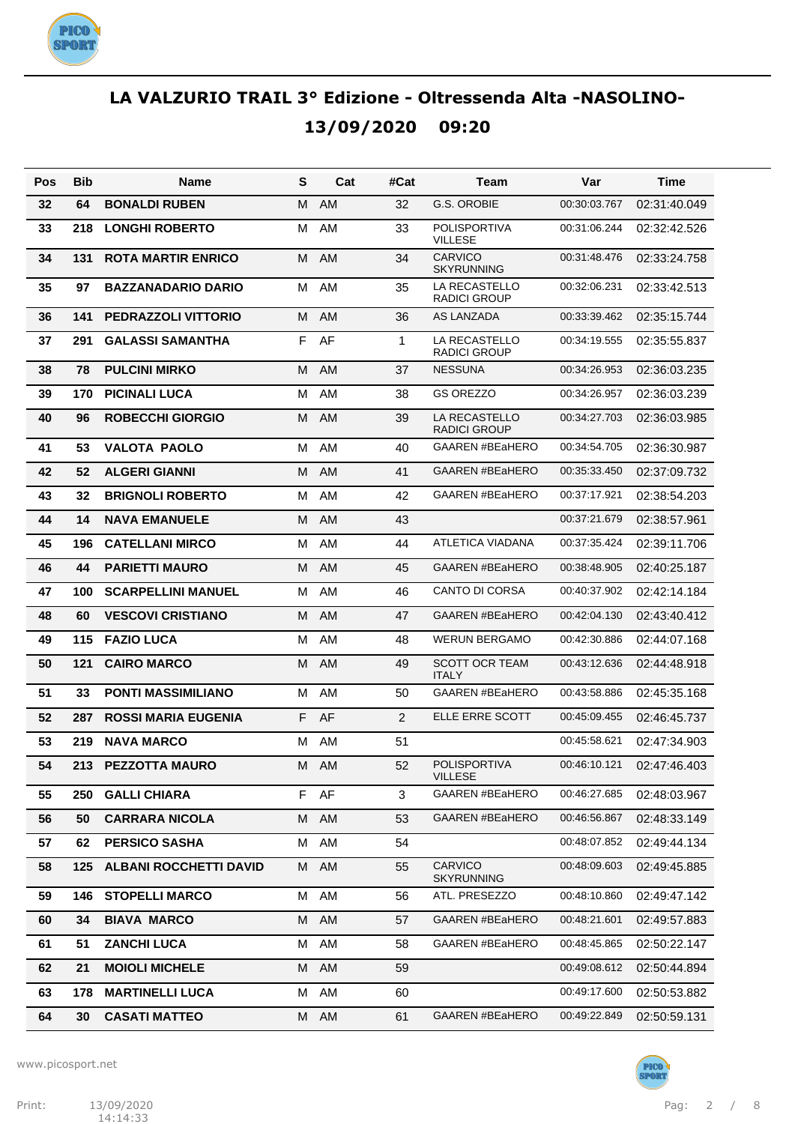

| Pos | Bib | Name                          | S | Cat  | #Cat           | Team                                  | Var          | Time         |
|-----|-----|-------------------------------|---|------|----------------|---------------------------------------|--------------|--------------|
| 32  | 64  | <b>BONALDI RUBEN</b>          | M | AM   | 32             | G.S. OROBIE                           | 00:30:03.767 | 02:31:40.049 |
| 33  | 218 | <b>LONGHI ROBERTO</b>         | M | AM   | 33             | <b>POLISPORTIVA</b><br><b>VILLESE</b> | 00:31:06.244 | 02:32:42.526 |
| 34  | 131 | <b>ROTA MARTIR ENRICO</b>     | м | AM   | 34             | <b>CARVICO</b><br><b>SKYRUNNING</b>   | 00:31:48.476 | 02:33:24.758 |
| 35  | 97  | <b>BAZZANADARIO DARIO</b>     | M | AM   | 35             | LA RECASTELLO<br><b>RADICI GROUP</b>  | 00:32:06.231 | 02:33:42.513 |
| 36  | 141 | <b>PEDRAZZOLI VITTORIO</b>    | M | AM   | 36             | <b>AS LANZADA</b>                     | 00:33:39.462 | 02:35:15.744 |
| 37  | 291 | <b>GALASSI SAMANTHA</b>       | F | AF   | 1              | LA RECASTELLO<br><b>RADICI GROUP</b>  | 00:34:19.555 | 02:35:55.837 |
| 38  | 78  | <b>PULCINI MIRKO</b>          | м | AM   | 37             | <b>NESSUNA</b>                        | 00:34:26.953 | 02:36:03.235 |
| 39  | 170 | <b>PICINALI LUCA</b>          | M | AM   | 38             | <b>GS OREZZO</b>                      | 00:34:26.957 | 02:36:03.239 |
| 40  | 96  | <b>ROBECCHI GIORGIO</b>       | м | AM   | 39             | LA RECASTELLO<br><b>RADICI GROUP</b>  | 00:34:27.703 | 02:36:03.985 |
| 41  | 53  | <b>VALOTA PAOLO</b>           | M | AM   | 40             | <b>GAAREN #BEaHERO</b>                | 00:34:54.705 | 02:36:30.987 |
| 42  | 52  | <b>ALGERI GIANNI</b>          | M | AM   | 41             | GAAREN #BEaHERO                       | 00:35:33.450 | 02:37:09.732 |
| 43  | 32  | <b>BRIGNOLI ROBERTO</b>       | M | AM   | 42             | <b>GAAREN #BEaHERO</b>                | 00:37:17.921 | 02:38:54.203 |
| 44  | 14  | <b>NAVA EMANUELE</b>          | M | AM   | 43             |                                       | 00:37:21.679 | 02:38:57.961 |
| 45  | 196 | <b>CATELLANI MIRCO</b>        | M | AM   | 44             | <b>ATLETICA VIADANA</b>               | 00:37:35.424 | 02:39:11.706 |
| 46  | 44  | <b>PARIETTI MAURO</b>         | M | AM   | 45             | <b>GAAREN #BEaHERO</b>                | 00:38:48.905 | 02:40:25.187 |
| 47  | 100 | <b>SCARPELLINI MANUEL</b>     | M | AM   | 46             | <b>CANTO DI CORSA</b>                 | 00:40:37.902 | 02:42:14.184 |
| 48  | 60  | <b>VESCOVI CRISTIANO</b>      | M | AM   | 47             | <b>GAAREN #BEaHERO</b>                | 00:42:04.130 | 02:43:40.412 |
| 49  | 115 | <b>FAZIO LUCA</b>             | M | AM   | 48             | <b>WERUN BERGAMO</b>                  | 00:42:30.886 | 02:44:07.168 |
| 50  | 121 | <b>CAIRO MARCO</b>            | M | AM   | 49             | <b>SCOTT OCR TEAM</b><br><b>ITALY</b> | 00:43:12.636 | 02:44:48.918 |
| 51  | 33  | <b>PONTI MASSIMILIANO</b>     | M | AM   | 50             | <b>GAAREN #BEaHERO</b>                | 00:43:58.886 | 02:45:35.168 |
| 52  | 287 | <b>ROSSI MARIA EUGENIA</b>    | F | AF   | $\overline{2}$ | ELLE ERRE SCOTT                       | 00:45:09.455 | 02:46:45.737 |
| 53  | 219 | <b>NAVA MARCO</b>             | м | AM   | 51             |                                       | 00:45:58.621 | 02:47:34.903 |
| 54  | 213 | <b>PEZZOTTA MAURO</b>         | м | AM   | 52             | <b>POLISPORTIVA</b><br><b>VILLESE</b> | 00:46:10.121 | 02:47:46.403 |
| 55  | 250 | <b>GALLI CHIARA</b>           |   | F AF | 3              | <b>GAAREN #BEaHERO</b>                | 00:46:27.685 | 02:48:03.967 |
| 56  | 50  | <b>CARRARA NICOLA</b>         | M | AM   | 53             | <b>GAAREN #BEaHERO</b>                | 00:46:56.867 | 02:48:33.149 |
| 57  | 62  | <b>PERSICO SASHA</b>          | М | AM   | 54             |                                       | 00:48:07.852 | 02:49:44.134 |
| 58  | 125 | <b>ALBANI ROCCHETTI DAVID</b> | M | AM   | 55             | CARVICO<br><b>SKYRUNNING</b>          | 00:48:09.603 | 02:49:45.885 |
| 59  | 146 | <b>STOPELLI MARCO</b>         | М | AM   | 56             | ATL. PRESEZZO                         | 00:48:10.860 | 02:49:47.142 |
| 60  | 34  | <b>BIAVA MARCO</b>            | М | AM   | 57             | <b>GAAREN #BEaHERO</b>                | 00:48:21.601 | 02:49:57.883 |
| 61  | 51  | <b>ZANCHI LUCA</b>            | М | AM   | 58             | <b>GAAREN #BEaHERO</b>                | 00:48:45.865 | 02:50:22.147 |
| 62  | 21  | <b>MOIOLI MICHELE</b>         | М | AM   | 59             |                                       | 00:49:08.612 | 02:50:44.894 |
| 63  | 178 | <b>MARTINELLI LUCA</b>        | М | AM   | 60             |                                       | 00:49:17.600 | 02:50:53.882 |
| 64  | 30  | <b>CASATI MATTEO</b>          | M | AM   | 61             | <b>GAAREN #BEaHERO</b>                | 00:49:22.849 | 02:50:59.131 |

www.picosport.net



PICO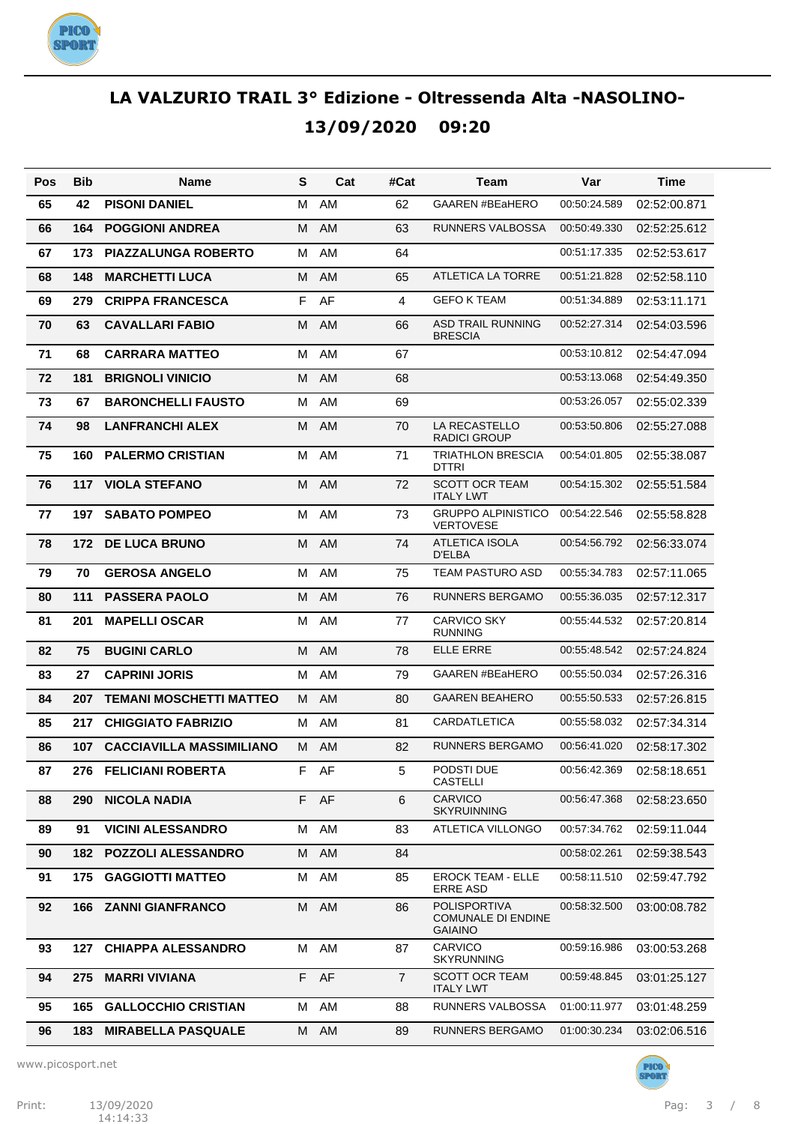

| Pos | <b>Bib</b> | Name                            | S  | Cat  | #Cat           | Team                                                               | Var          | Time                        |
|-----|------------|---------------------------------|----|------|----------------|--------------------------------------------------------------------|--------------|-----------------------------|
| 65  | 42         | <b>PISONI DANIEL</b>            | м  | AM   | 62             | <b>GAAREN #BEaHERO</b>                                             | 00:50:24.589 | 02:52:00.871                |
| 66  | 164        | <b>POGGIONI ANDREA</b>          | M  | AM   | 63             | <b>RUNNERS VALBOSSA</b>                                            | 00:50:49.330 | 02:52:25.612                |
| 67  | 173        | <b>PIAZZALUNGA ROBERTO</b>      | м  | AM   | 64             |                                                                    | 00:51:17.335 | 02:52:53.617                |
| 68  | 148        | <b>MARCHETTI LUCA</b>           | М  | AM   | 65             | ATLETICA LA TORRE                                                  | 00:51:21.828 | 02:52:58.110                |
| 69  | 279        | <b>CRIPPA FRANCESCA</b>         | F  | AF   | 4              | <b>GEFO K TEAM</b>                                                 | 00:51:34.889 | 02:53:11.171                |
| 70  | 63         | <b>CAVALLARI FABIO</b>          | м  | AM   | 66             | <b>ASD TRAIL RUNNING</b><br><b>BRESCIA</b>                         | 00:52:27.314 | 02:54:03.596                |
| 71  | 68         | <b>CARRARA MATTEO</b>           | м  | AM   | 67             |                                                                    | 00:53:10.812 | 02:54:47.094                |
| 72  | 181        | <b>BRIGNOLI VINICIO</b>         | м  | AM   | 68             |                                                                    | 00:53:13.068 | 02:54:49.350                |
| 73  | 67         | <b>BARONCHELLI FAUSTO</b>       | м  | AM   | 69             |                                                                    | 00:53:26.057 | 02:55:02.339                |
| 74  | 98         | <b>LANFRANCHI ALEX</b>          | м  | AM   | 70             | LA RECASTELLO<br><b>RADICI GROUP</b>                               | 00:53:50.806 | 02:55:27.088                |
| 75  | 160        | <b>PALERMO CRISTIAN</b>         | м  | AM   | 71             | <b>TRIATHLON BRESCIA</b><br><b>DTTRI</b>                           | 00:54:01.805 | 02:55:38.087                |
| 76  | 117        | <b>VIOLA STEFANO</b>            | М  | AM   | 72             | <b>SCOTT OCR TEAM</b><br><b>ITALY LWT</b>                          | 00:54:15.302 | 02:55:51.584                |
| 77  | 197        | <b>SABATO POMPEO</b>            | м  | AM   | 73             | <b>GRUPPO ALPINISTICO</b><br><b>VERTOVESE</b>                      | 00:54:22.546 | 02:55:58.828                |
| 78  | 172        | <b>DE LUCA BRUNO</b>            | M  | AM   | 74             | <b>ATLETICA ISOLA</b><br>D'ELBA                                    | 00:54:56.792 | 02:56:33.074                |
| 79  | 70         | <b>GEROSA ANGELO</b>            | м  | AM   | 75             | <b>TEAM PASTURO ASD</b>                                            | 00:55:34.783 | 02:57:11.065                |
| 80  | 111        | <b>PASSERA PAOLO</b>            | М  | AM   | 76             | <b>RUNNERS BERGAMO</b>                                             | 00:55:36.035 | 02:57:12.317                |
| 81  | 201        | <b>MAPELLI OSCAR</b>            | м  | AM   | 77             | <b>CARVICO SKY</b><br><b>RUNNING</b>                               | 00:55:44.532 | 02:57:20.814                |
| 82  | 75         | <b>BUGINI CARLO</b>             | м  | AM   | 78             | <b>ELLE ERRE</b>                                                   | 00:55:48.542 | 02:57:24.824                |
| 83  | 27         | <b>CAPRINI JORIS</b>            | м  | AM   | 79             | <b>GAAREN #BEaHERO</b>                                             | 00:55:50.034 | 02:57:26.316                |
| 84  | 207        | <b>TEMANI MOSCHETTI MATTEO</b>  | м  | AM   | 80             | <b>GAAREN BEAHERO</b>                                              | 00:55:50.533 | 02:57:26.815                |
| 85  | 217        | <b>CHIGGIATO FABRIZIO</b>       | м  | AM   | 81             | CARDATLETICA                                                       | 00:55:58.032 | 02:57:34.314                |
| 86  | 107        | <b>CACCIAVILLA MASSIMILIANO</b> | M  | AM   | 82             | <b>RUNNERS BERGAMO</b>                                             | 00:56:41.020 | 02:58:17.302                |
| 87  |            | 276 FELICIANI ROBERTA           |    | F AF | 5              | PODSTI DUE<br><b>CASTELLI</b>                                      |              | 00:56:42.369   02:58:18.651 |
| 88  | 290        | <b>NICOLA NADIA</b>             |    | F AF | 6              | CARVICO<br><b>SKYRUINNING</b>                                      | 00:56:47.368 | 02:58:23.650                |
| 89  | 91         | <b>VICINI ALESSANDRO</b>        | M  | AM   | 83             | <b>ATLETICA VILLONGO</b>                                           | 00:57:34.762 | 02:59:11.044                |
| 90  | 182        | <b>POZZOLI ALESSANDRO</b>       | М  | AM   | 84             |                                                                    | 00:58:02.261 | 02:59:38.543                |
| 91  | 175        | <b>GAGGIOTTI MATTEO</b>         | м  | AM   | 85             | <b>EROCK TEAM - ELLE</b><br><b>ERRE ASD</b>                        | 00:58:11.510 | 02:59:47.792                |
| 92  | 166        | <b>ZANNI GIANFRANCO</b>         | M  | AM   | 86             | <b>POLISPORTIVA</b><br><b>COMUNALE DI ENDINE</b><br><b>GAIAINO</b> | 00:58:32.500 | 03:00:08.782                |
| 93  | 127        | <b>CHIAPPA ALESSANDRO</b>       |    | M AM | 87             | CARVICO<br><b>SKYRUNNING</b>                                       | 00:59:16.986 | 03:00:53.268                |
| 94  | 275        | <b>MARRI VIVIANA</b>            | F. | AF   | $\overline{7}$ | <b>SCOTT OCR TEAM</b><br><b>ITALY LWT</b>                          | 00:59:48.845 | 03:01:25.127                |
| 95  | 165        | <b>GALLOCCHIO CRISTIAN</b>      |    | M AM | 88             | RUNNERS VALBOSSA                                                   | 01:00:11.977 | 03:01:48.259                |
| 96  | 183        | <b>MIRABELLA PASQUALE</b>       |    | M AM | 89             | RUNNERS BERGAMO                                                    | 01:00:30.234 | 03:02:06.516                |

www.picosport.net

PICO<sup>)</sup><br>SPORT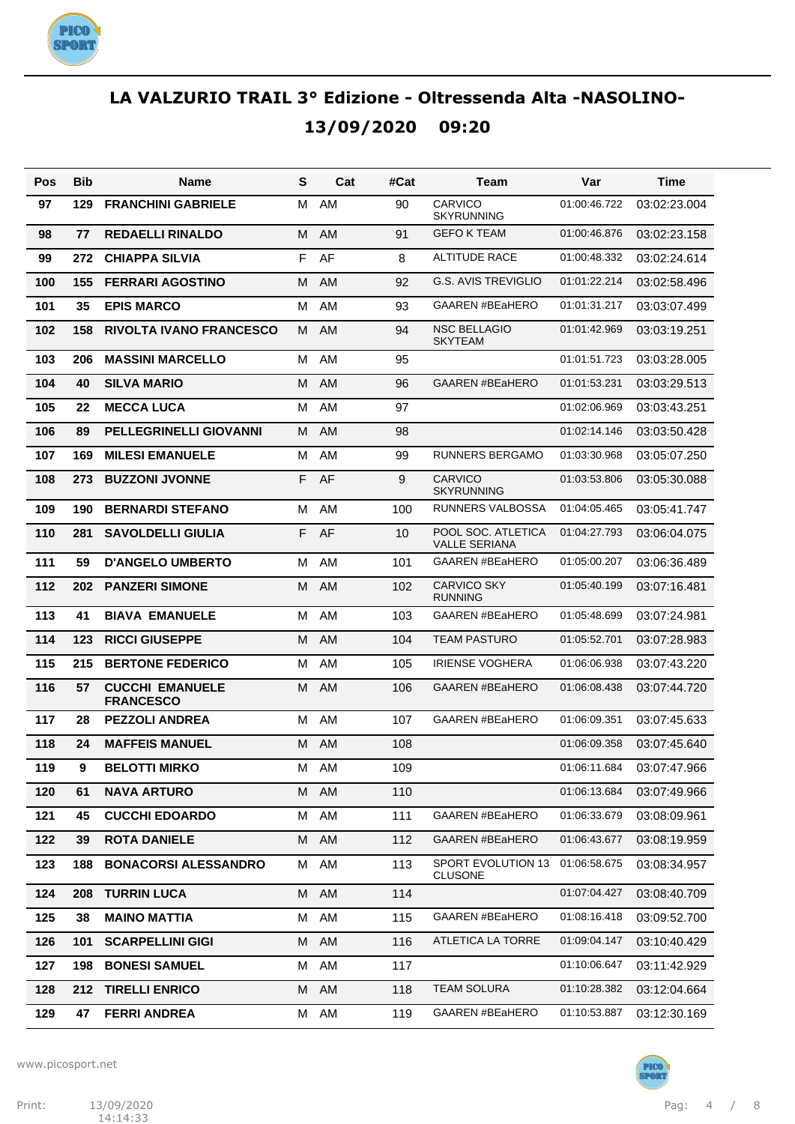

| Pos | Bib | Name                                       | S | Cat       | #Cat | Team                                       | Var          | Time         |
|-----|-----|--------------------------------------------|---|-----------|------|--------------------------------------------|--------------|--------------|
| 97  | 129 | <b>FRANCHINI GABRIELE</b>                  | м | AM        | 90   | CARVICO<br><b>SKYRUNNING</b>               | 01:00:46.722 | 03:02:23.004 |
| 98  | 77  | <b>REDAELLI RINALDO</b>                    | M | AM        | 91   | <b>GEFO K TEAM</b>                         | 01:00:46.876 | 03:02:23.158 |
| 99  | 272 | <b>CHIAPPA SILVIA</b>                      | F | AF        | 8    | <b>ALTITUDE RACE</b>                       | 01:00:48.332 | 03:02:24.614 |
| 100 | 155 | <b>FERRARI AGOSTINO</b>                    | м | AM        | 92   | <b>G.S. AVIS TREVIGLIO</b>                 | 01:01:22.214 | 03:02:58.496 |
| 101 | 35  | <b>EPIS MARCO</b>                          | м | AM        | 93   | <b>GAAREN #BEaHERO</b>                     | 01:01:31.217 | 03:03:07.499 |
| 102 | 158 | <b>RIVOLTA IVANO FRANCESCO</b>             | M | AM        | 94   | <b>NSC BELLAGIO</b><br><b>SKYTEAM</b>      | 01:01:42.969 | 03:03:19.251 |
| 103 | 206 | <b>MASSINI MARCELLO</b>                    | м | AM        | 95   |                                            | 01:01:51.723 | 03:03:28.005 |
| 104 | 40  | <b>SILVA MARIO</b>                         | м | <b>AM</b> | 96   | <b>GAAREN #BEaHERO</b>                     | 01:01:53.231 | 03:03:29.513 |
| 105 | 22  | <b>MECCA LUCA</b>                          | м | AM        | 97   |                                            | 01:02:06.969 | 03:03:43.251 |
| 106 | 89  | <b>PELLEGRINELLI GIOVANNI</b>              | м | <b>AM</b> | 98   |                                            | 01:02:14.146 | 03:03:50.428 |
| 107 | 169 | <b>MILESI EMANUELE</b>                     | м | AM        | 99   | <b>RUNNERS BERGAMO</b>                     | 01:03:30.968 | 03:05:07.250 |
| 108 | 273 | <b>BUZZONI JVONNE</b>                      | F | AF        | 9    | CARVICO<br><b>SKYRUNNING</b>               | 01:03:53.806 | 03:05:30.088 |
| 109 | 190 | <b>BERNARDI STEFANO</b>                    | M | AM        | 100  | RUNNERS VALBOSSA                           | 01:04:05.465 | 03:05:41.747 |
| 110 | 281 | <b>SAVOLDELLI GIULIA</b>                   | F | AF        | 10   | POOL SOC. ATLETICA<br><b>VALLE SERIANA</b> | 01:04:27.793 | 03:06:04.075 |
| 111 | 59  | <b>D'ANGELO UMBERTO</b>                    | м | AM        | 101  | <b>GAAREN #BEaHERO</b>                     | 01:05:00.207 | 03:06:36.489 |
| 112 | 202 | <b>PANZERI SIMONE</b>                      | м | AM        | 102  | <b>CARVICO SKY</b><br><b>RUNNING</b>       | 01:05:40.199 | 03:07:16.481 |
| 113 | 41  | <b>BIAVA EMANUELE</b>                      | м | AM        | 103  | <b>GAAREN #BEaHERO</b>                     | 01:05:48.699 | 03:07:24.981 |
| 114 | 123 | <b>RICCI GIUSEPPE</b>                      | м | <b>AM</b> | 104  | <b>TEAM PASTURO</b>                        | 01:05:52.701 | 03:07:28.983 |
| 115 | 215 | <b>BERTONE FEDERICO</b>                    | м | AM        | 105  | <b>IRIENSE VOGHERA</b>                     | 01:06:06.938 | 03:07:43.220 |
| 116 | 57  | <b>CUCCHI EMANUELE</b><br><b>FRANCESCO</b> | м | <b>AM</b> | 106  | <b>GAAREN #BEaHERO</b>                     | 01:06:08.438 | 03:07:44.720 |
| 117 | 28  | <b>PEZZOLI ANDREA</b>                      | м | AM        | 107  | <b>GAAREN #BEaHERO</b>                     | 01:06:09.351 | 03:07:45.633 |
| 118 | 24  | <b>MAFFEIS MANUEL</b>                      | м | AM        | 108  |                                            | 01:06:09.358 | 03:07:45.640 |
| 119 | 9   | <b>BELOTTI MIRKO</b>                       | м | AM        | 109  |                                            | 01:06:11.684 | 03:07:47.966 |
| 120 | 61  | <b>NAVA ARTURO</b>                         |   | M AM      | 110  |                                            | 01:06:13.684 | 03:07:49.966 |
| 121 | 45  | <b>CUCCHI EDOARDO</b>                      | м | AM        | 111  | GAAREN #BEaHERO                            | 01:06:33.679 | 03:08:09.961 |
| 122 | 39  | <b>ROTA DANIELE</b>                        | М | AM        | 112  | GAAREN #BEaHERO                            | 01:06:43.677 | 03:08:19.959 |
| 123 | 188 | <b>BONACORSI ALESSANDRO</b>                | м | AM        | 113  | SPORT EVOLUTION 13<br><b>CLUSONE</b>       | 01:06:58.675 | 03:08:34.957 |
| 124 | 208 | <b>TURRIN LUCA</b>                         |   | M AM      | 114  |                                            | 01:07:04.427 | 03:08:40.709 |
| 125 | 38  | <b>MAINO MATTIA</b>                        | M | AM        | 115  | GAAREN #BEaHERO                            | 01:08:16.418 | 03:09:52.700 |
| 126 | 101 | <b>SCARPELLINI GIGI</b>                    | M | AM        | 116  | ATLETICA LA TORRE                          | 01:09:04.147 | 03:10:40.429 |
| 127 | 198 | <b>BONESI SAMUEL</b>                       | М | AM        | 117  |                                            | 01:10:06.647 | 03:11:42.929 |
| 128 | 212 | <b>TIRELLI ENRICO</b>                      |   | M AM      | 118  | TEAM SOLURA                                | 01:10:28.382 | 03:12:04.664 |
| 129 | 47  | <b>FERRI ANDREA</b>                        |   | M AM      | 119  | GAAREN #BEaHERO                            | 01:10:53.887 | 03:12:30.169 |

www.picosport.net



PICO<sup>)</sup><br>SPORT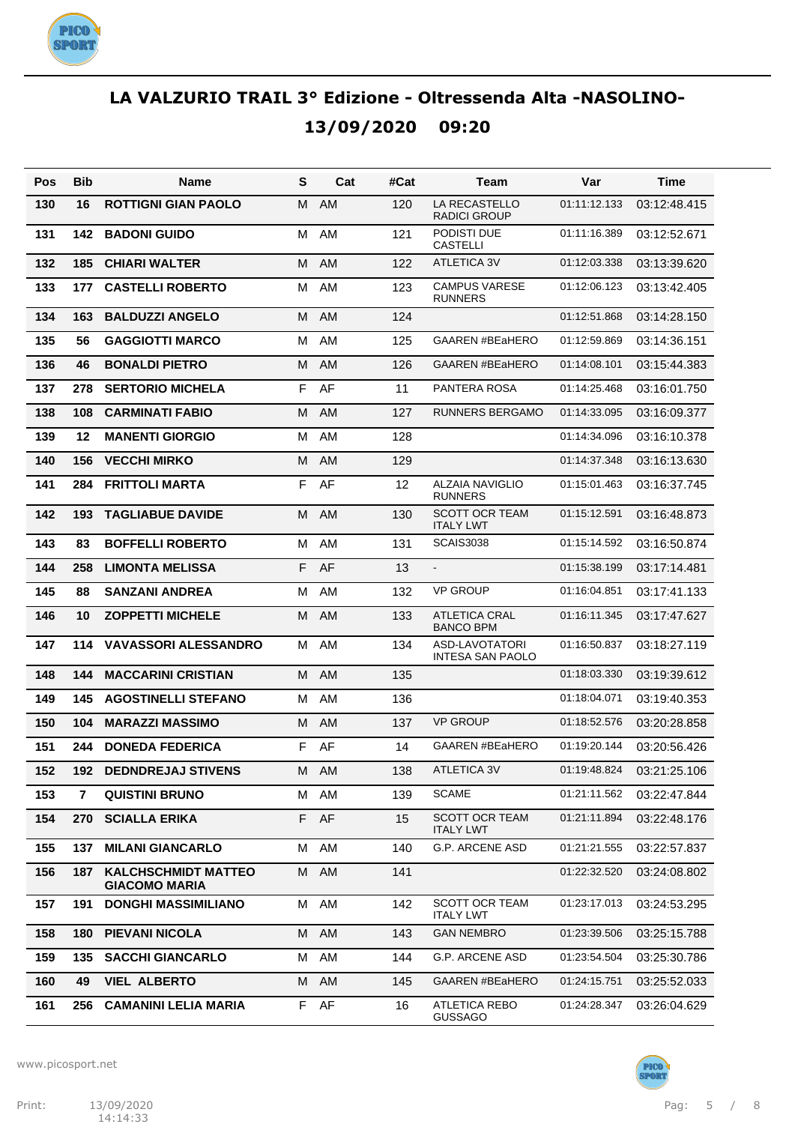

| Pos | <b>Bib</b> | Name                                               | S | Cat       | #Cat | Team                                      | Var          | Time                       |
|-----|------------|----------------------------------------------------|---|-----------|------|-------------------------------------------|--------------|----------------------------|
| 130 | 16         | <b>ROTTIGNI GIAN PAOLO</b>                         | м | AM        | 120  | LA RECASTELLO<br>RADICI GROUP             | 01:11:12.133 | 03:12:48.415               |
| 131 | 142        | <b>BADONI GUIDO</b>                                | M | AM        | 121  | PODISTI DUE<br><b>CASTELLI</b>            | 01:11:16.389 | 03:12:52.671               |
| 132 | 185        | <b>CHIARI WALTER</b>                               | M | AM        | 122  | <b>ATLETICA 3V</b>                        | 01:12:03.338 | 03:13:39.620               |
| 133 | 177        | <b>CASTELLI ROBERTO</b>                            | M | AM        | 123  | <b>CAMPUS VARESE</b><br><b>RUNNERS</b>    | 01:12:06.123 | 03:13:42.405               |
| 134 | 163        | <b>BALDUZZI ANGELO</b>                             | м | AM        | 124  |                                           | 01:12:51.868 | 03:14:28.150               |
| 135 | 56         | <b>GAGGIOTTI MARCO</b>                             | M | AM        | 125  | <b>GAAREN #BEaHERO</b>                    | 01:12:59.869 | 03:14:36.151               |
| 136 | 46         | <b>BONALDI PIETRO</b>                              | M | <b>AM</b> | 126  | <b>GAAREN #BEaHERO</b>                    | 01:14:08.101 | 03:15:44.383               |
| 137 | 278        | <b>SERTORIO MICHELA</b>                            | F | AF        | 11   | PANTERA ROSA                              | 01:14:25.468 | 03:16:01.750               |
| 138 | 108        | <b>CARMINATI FABIO</b>                             | м | <b>AM</b> | 127  | <b>RUNNERS BERGAMO</b>                    | 01:14:33.095 | 03:16:09.377               |
| 139 | 12         | <b>MANENTI GIORGIO</b>                             | M | AM        | 128  |                                           | 01:14:34.096 | 03:16:10.378               |
| 140 | 156        | <b>VECCHI MIRKO</b>                                | M | <b>AM</b> | 129  |                                           | 01:14:37.348 | 03:16:13.630               |
| 141 | 284        | <b>FRITTOLI MARTA</b>                              | F | AF        | 12   | <b>ALZAIA NAVIGLIO</b><br><b>RUNNERS</b>  | 01:15:01.463 | 03:16:37.745               |
| 142 | 193        | <b>TAGLIABUE DAVIDE</b>                            | м | AM        | 130  | <b>SCOTT OCR TEAM</b><br><b>ITALY LWT</b> | 01:15:12.591 | 03:16:48.873               |
| 143 | 83         | <b>BOFFELLI ROBERTO</b>                            | M | AM        | 131  | <b>SCAIS3038</b>                          | 01:15:14.592 | 03:16:50.874               |
| 144 | 258        | <b>LIMONTA MELISSA</b>                             | F | AF        | 13   | $\blacksquare$                            | 01:15:38.199 | 03:17:14.481               |
| 145 | 88         | <b>SANZANI ANDREA</b>                              | M | AM        | 132  | <b>VP GROUP</b>                           | 01:16:04.851 | 03:17:41.133               |
| 146 | 10         | <b>ZOPPETTI MICHELE</b>                            | M | AM        | 133  | <b>ATLETICA CRAL</b><br><b>BANCO BPM</b>  | 01:16:11.345 | 03:17:47.627               |
| 147 | 114        | <b>VAVASSORI ALESSANDRO</b>                        | м | AM        | 134  | ASD-LAVOTATORI<br><b>INTESA SAN PAOLO</b> | 01:16:50.837 | 03:18:27.119               |
| 148 | 144        | <b>MACCARINI CRISTIAN</b>                          | м | AM        | 135  |                                           | 01:18:03.330 | 03:19:39.612               |
| 149 | 145        | <b>AGOSTINELLI STEFANO</b>                         | м | AM        | 136  |                                           | 01:18:04.071 | 03:19:40.353               |
| 150 | 104        | <b>MARAZZI MASSIMO</b>                             | м | AM        | 137  | <b>VP GROUP</b>                           | 01:18:52.576 | 03:20:28.858               |
| 151 | 244        | <b>DONEDA FEDERICA</b>                             | F | AF        | 14   | <b>GAAREN #BEaHERO</b>                    | 01:19:20.144 | 03:20:56.426               |
| 152 |            | 192 DEDNDREJAJ STIVENS                             | M | AM        | 138  | ATLETICA 3V                               |              | 01:19:48.824  03:21:25.106 |
| 153 | 7          | <b>QUISTINI BRUNO</b>                              | м | AM        | 139  | <b>SCAME</b>                              | 01:21:11.562 | 03:22:47.844               |
| 154 | 270        | <b>SCIALLA ERIKA</b>                               | F | AF        | 15   | SCOTT OCR TEAM<br><b>ITALY LWT</b>        | 01:21:11.894 | 03:22:48.176               |
| 155 | 137        | <b>MILANI GIANCARLO</b>                            | М | AM        | 140  | <b>G.P. ARCENE ASD</b>                    | 01:21:21.555 | 03:22:57.837               |
| 156 | 187        | <b>KALCHSCHMIDT MATTEO</b><br><b>GIACOMO MARIA</b> | М | AM        | 141  |                                           | 01:22:32.520 | 03:24:08.802               |
| 157 | 191        | <b>DONGHI MASSIMILIANO</b>                         | м | AM        | 142  | <b>SCOTT OCR TEAM</b><br><b>ITALY LWT</b> | 01:23:17.013 | 03:24:53.295               |
| 158 | 180        | <b>PIEVANI NICOLA</b>                              | м | AM        | 143  | <b>GAN NEMBRO</b>                         | 01:23:39.506 | 03:25:15.788               |
| 159 | 135        | <b>SACCHI GIANCARLO</b>                            | М | AM        | 144  | G.P. ARCENE ASD                           | 01:23:54.504 | 03:25:30.786               |
| 160 | 49         | <b>VIEL ALBERTO</b>                                | M | AM        | 145  | <b>GAAREN #BEaHERO</b>                    | 01:24:15.751 | 03:25:52.033               |
| 161 | 256        | <b>CAMANINI LELIA MARIA</b>                        | F | AF        | 16   | <b>ATLETICA REBO</b><br><b>GUSSAGO</b>    | 01:24:28.347 | 03:26:04.629               |

www.picosport.net

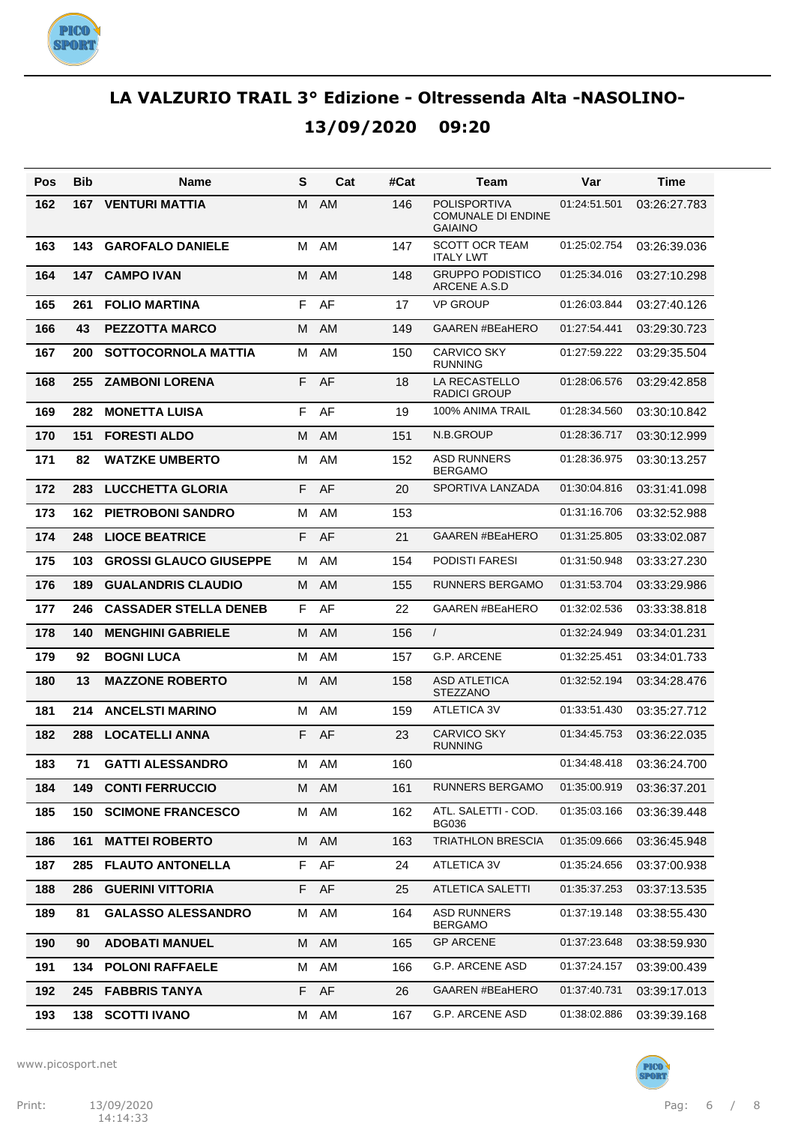

| Pos | Bib | Name                          | S  | Cat  | #Cat | Team                                                               | Var          | Time         |
|-----|-----|-------------------------------|----|------|------|--------------------------------------------------------------------|--------------|--------------|
| 162 | 167 | <b>VENTURI MATTIA</b>         | м  | AM   | 146  | <b>POLISPORTIVA</b><br><b>COMUNALE DI ENDINE</b><br><b>GAIAINO</b> | 01:24:51.501 | 03:26:27.783 |
| 163 | 143 | <b>GAROFALO DANIELE</b>       | м  | AM   | 147  | <b>SCOTT OCR TEAM</b><br><b>ITALY LWT</b>                          | 01:25:02.754 | 03:26:39.036 |
| 164 | 147 | <b>CAMPO IVAN</b>             | м  | AM   | 148  | <b>GRUPPO PODISTICO</b><br>ARCENE A.S.D                            | 01:25:34.016 | 03:27:10.298 |
| 165 | 261 | <b>FOLIO MARTINA</b>          | F  | AF   | 17   | <b>VP GROUP</b>                                                    | 01:26:03.844 | 03:27:40.126 |
| 166 | 43  | <b>PEZZOTTA MARCO</b>         | м  | AM   | 149  | <b>GAAREN #BEaHERO</b>                                             | 01:27:54.441 | 03:29:30.723 |
| 167 | 200 | <b>SOTTOCORNOLA MATTIA</b>    | м  | AM   | 150  | <b>CARVICO SKY</b><br><b>RUNNING</b>                               | 01:27:59.222 | 03:29:35.504 |
| 168 | 255 | <b>ZAMBONI LORENA</b>         | F. | AF   | 18   | LA RECASTELLO<br>RADICI GROUP                                      | 01:28:06.576 | 03:29:42.858 |
| 169 | 282 | <b>MONETTA LUISA</b>          | F  | AF   | 19   | 100% ANIMA TRAIL                                                   | 01:28:34.560 | 03:30:10.842 |
| 170 | 151 | <b>FORESTI ALDO</b>           | м  | AM   | 151  | N.B.GROUP                                                          | 01:28:36.717 | 03:30:12.999 |
| 171 | 82  | <b>WATZKE UMBERTO</b>         | M  | AM   | 152  | <b>ASD RUNNERS</b><br><b>BERGAMO</b>                               | 01:28:36.975 | 03:30:13.257 |
| 172 | 283 | <b>LUCCHETTA GLORIA</b>       | F  | AF   | 20   | SPORTIVA LANZADA                                                   | 01:30:04.816 | 03:31:41.098 |
| 173 | 162 | <b>PIETROBONI SANDRO</b>      | м  | AM   | 153  |                                                                    | 01:31:16.706 | 03:32:52.988 |
| 174 | 248 | <b>LIOCE BEATRICE</b>         | F  | AF   | 21   | <b>GAAREN #BEaHERO</b>                                             | 01:31:25.805 | 03:33:02.087 |
| 175 | 103 | <b>GROSSI GLAUCO GIUSEPPE</b> | м  | AM   | 154  | PODISTI FARESI                                                     | 01:31:50.948 | 03:33:27.230 |
| 176 | 189 | <b>GUALANDRIS CLAUDIO</b>     | м  | AM   | 155  | <b>RUNNERS BERGAMO</b>                                             | 01:31:53.704 | 03:33:29.986 |
| 177 | 246 | <b>CASSADER STELLA DENEB</b>  | F. | AF   | 22   | <b>GAAREN #BEaHERO</b>                                             | 01:32:02.536 | 03:33:38.818 |
| 178 | 140 | <b>MENGHINI GABRIELE</b>      | м  | AM   | 156  | $\prime$                                                           | 01:32:24.949 | 03:34:01.231 |
| 179 | 92  | <b>BOGNI LUCA</b>             | м  | AM   | 157  | G.P. ARCENE                                                        | 01:32:25.451 | 03:34:01.733 |
| 180 | 13  | <b>MAZZONE ROBERTO</b>        | м  | AM   | 158  | <b>ASD ATLETICA</b><br><b>STEZZANO</b>                             | 01:32:52.194 | 03:34:28.476 |
| 181 | 214 | <b>ANCELSTI MARINO</b>        | м  | AM   | 159  | <b>ATLETICA 3V</b>                                                 | 01:33:51.430 | 03:35:27.712 |
| 182 | 288 | <b>LOCATELLI ANNA</b>         | F  | AF   | 23   | <b>CARVICO SKY</b><br><b>RUNNING</b>                               | 01:34:45.753 | 03:36:22.035 |
| 183 | 71  | <b>GATTI ALESSANDRO</b>       | м  | AM   | 160  |                                                                    | 01:34:48.418 | 03:36:24.700 |
| 184 |     | <b>149 CONTI FERRUCCIO</b>    |    | M AM | 161  | RUNNERS BERGAMO                                                    | 01:35:00.919 | 03:36:37.201 |
| 185 | 150 | <b>SCIMONE FRANCESCO</b>      | M  | AM   | 162  | ATL. SALETTI - COD.<br>BG036                                       | 01:35:03.166 | 03:36:39.448 |
| 186 | 161 | <b>MATTEI ROBERTO</b>         |    | M AM | 163  | TRIATHLON BRESCIA                                                  | 01:35:09.666 | 03:36:45.948 |
| 187 | 285 | <b>FLAUTO ANTONELLA</b>       |    | F AF | 24   | ATLETICA 3V                                                        | 01:35:24.656 | 03:37:00.938 |
| 188 | 286 | <b>GUERINI VITTORIA</b>       |    | F AF | 25   | <b>ATLETICA SALETTI</b>                                            | 01:35:37.253 | 03:37:13.535 |
| 189 | 81  | <b>GALASSO ALESSANDRO</b>     |    | M AM | 164  | ASD RUNNERS<br><b>BERGAMO</b>                                      | 01:37:19.148 | 03:38:55.430 |
| 190 | 90  | <b>ADOBATI MANUEL</b>         |    | M AM | 165  | <b>GP ARCENE</b>                                                   | 01:37:23.648 | 03:38:59.930 |
| 191 | 134 | <b>POLONI RAFFAELE</b>        |    | M AM | 166  | <b>G.P. ARCENE ASD</b>                                             | 01:37:24.157 | 03:39:00.439 |
| 192 |     | 245 FABBRIS TANYA             |    | F AF | 26   | GAAREN #BEaHERO                                                    | 01:37:40.731 | 03:39:17.013 |
| 193 |     | <b>138 SCOTTI IVANO</b>       |    | M AM | 167  | G.P. ARCENE ASD                                                    | 01:38:02.886 | 03:39:39.168 |

www.picosport.net



PICO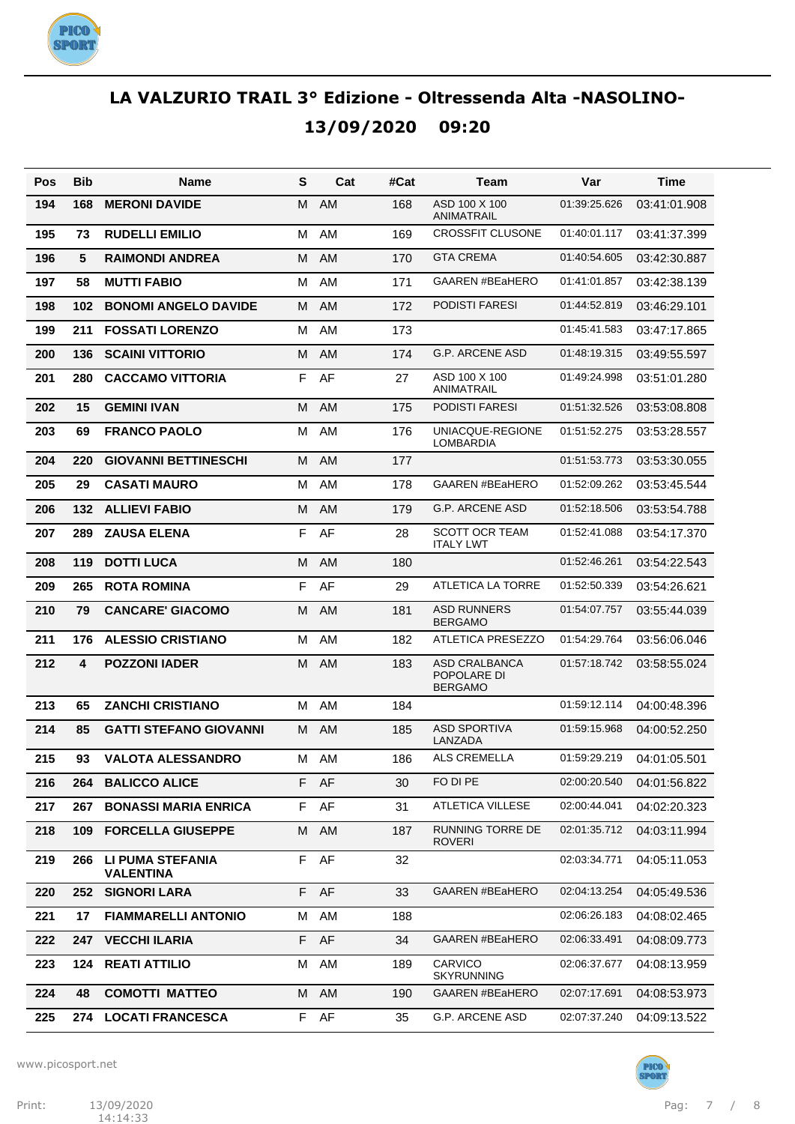

| Pos | Bib                     | Name                                        | S | Cat  | #Cat | Team                                           | Var          | Time         |
|-----|-------------------------|---------------------------------------------|---|------|------|------------------------------------------------|--------------|--------------|
| 194 | 168                     | <b>MERONI DAVIDE</b>                        | м | AM   | 168  | ASD 100 X 100<br>ANIMATRAIL                    | 01:39:25.626 | 03:41:01.908 |
| 195 | 73                      | <b>RUDELLI EMILIO</b>                       | M | AM   | 169  | <b>CROSSFIT CLUSONE</b>                        | 01:40:01.117 | 03:41:37.399 |
| 196 | 5                       | <b>RAIMONDI ANDREA</b>                      | M | AM   | 170  | <b>GTA CREMA</b>                               | 01:40:54.605 | 03:42:30.887 |
| 197 | 58                      | <b>MUTTI FABIO</b>                          | M | AM   | 171  | <b>GAAREN #BEaHERO</b>                         | 01:41:01.857 | 03:42:38.139 |
| 198 | 102                     | <b>BONOMI ANGELO DAVIDE</b>                 | M | AM   | 172  | PODISTI FARESI                                 | 01:44:52.819 | 03:46:29.101 |
| 199 | 211                     | <b>FOSSATI LORENZO</b>                      | M | AM   | 173  |                                                | 01:45:41.583 | 03:47:17.865 |
| 200 | 136                     | <b>SCAINI VITTORIO</b>                      | M | AM   | 174  | <b>G.P. ARCENE ASD</b>                         | 01:48:19.315 | 03:49:55.597 |
| 201 | 280                     | <b>CACCAMO VITTORIA</b>                     | F | AF   | 27   | ASD 100 X 100<br>ANIMATRAIL                    | 01:49:24.998 | 03:51:01.280 |
| 202 | 15                      | <b>GEMINI IVAN</b>                          | M | AM   | 175  | PODISTI FARESI                                 | 01:51:32.526 | 03:53:08.808 |
| 203 | 69                      | <b>FRANCO PAOLO</b>                         | М | AM   | 176  | UNIACQUE-REGIONE<br>LOMBARDIA                  | 01:51:52.275 | 03:53:28.557 |
| 204 | 220                     | <b>GIOVANNI BETTINESCHI</b>                 | м | AM   | 177  |                                                | 01:51:53.773 | 03:53:30.055 |
| 205 | 29                      | <b>CASATI MAURO</b>                         | м | AM   | 178  | <b>GAAREN #BEaHERO</b>                         | 01:52:09.262 | 03:53:45.544 |
| 206 | 132                     | <b>ALLIEVI FABIO</b>                        | м | AM   | 179  | <b>G.P. ARCENE ASD</b>                         | 01:52:18.506 | 03:53:54.788 |
| 207 | 289                     | <b>ZAUSA ELENA</b>                          | F | AF   | 28   | <b>SCOTT OCR TEAM</b><br><b>ITALY LWT</b>      | 01:52:41.088 | 03:54:17.370 |
| 208 | 119                     | <b>DOTTI LUCA</b>                           | м | AM   | 180  |                                                | 01:52:46.261 | 03:54:22.543 |
| 209 | 265                     | <b>ROTA ROMINA</b>                          | F | AF   | 29   | ATLETICA LA TORRE                              | 01:52:50.339 | 03:54:26.621 |
| 210 | 79                      | <b>CANCARE' GIACOMO</b>                     | M | AM   | 181  | <b>ASD RUNNERS</b><br><b>BERGAMO</b>           | 01:54:07.757 | 03:55:44.039 |
| 211 | 176                     | <b>ALESSIO CRISTIANO</b>                    | M | AM   | 182  | <b>ATLETICA PRESEZZO</b>                       | 01:54:29.764 | 03:56:06.046 |
| 212 | $\overline{\mathbf{4}}$ | <b>POZZONI IADER</b>                        | M | AM   | 183  | ASD CRALBANCA<br>POPOLARE DI<br><b>BERGAMO</b> | 01:57:18.742 | 03:58:55.024 |
| 213 | 65                      | <b>ZANCHI CRISTIANO</b>                     | м | AM   | 184  |                                                | 01:59:12.114 | 04:00:48.396 |
| 214 | 85                      | <b>GATTI STEFANO GIOVANNI</b>               | м | AM   | 185  | <b>ASD SPORTIVA</b><br>LANZADA                 | 01:59:15.968 | 04:00:52.250 |
| 215 | 93                      | <b>VALOTA ALESSANDRO</b>                    | м | AM   | 186  | <b>ALS CREMELLA</b>                            | 01:59:29.219 | 04:01:05.501 |
| 216 | 264                     | <b>BALICCO ALICE</b>                        |   | F AF | 30   | FO DI PE                                       | 02:00:20.540 | 04:01:56.822 |
| 217 | 267                     | <b>BONASSI MARIA ENRICA</b>                 | F | AF   | 31   | <b>ATLETICA VILLESE</b>                        | 02:00:44.041 | 04:02:20.323 |
| 218 | 109                     | <b>FORCELLA GIUSEPPE</b>                    | М | AM   | 187  | RUNNING TORRE DE<br><b>ROVERI</b>              | 02:01:35.712 | 04:03:11.994 |
| 219 | 266                     | <b>LI PUMA STEFANIA</b><br><b>VALENTINA</b> | F | AF   | 32   |                                                | 02:03:34.771 | 04:05:11.053 |
| 220 | 252                     | <b>SIGNORI LARA</b>                         | F | AF   | 33   | <b>GAAREN #BEaHERO</b>                         | 02:04:13.254 | 04:05:49.536 |
| 221 | 17                      | <b>FIAMMARELLI ANTONIO</b>                  | М | AM   | 188  |                                                | 02:06:26.183 | 04:08:02.465 |
| 222 | 247                     | <b>VECCHI ILARIA</b>                        | F | AF   | 34   | <b>GAAREN #BEaHERO</b>                         | 02:06:33.491 | 04:08:09.773 |
| 223 | 124                     | <b>REATI ATTILIO</b>                        | M | AM   | 189  | <b>CARVICO</b><br><b>SKYRUNNING</b>            | 02:06:37.677 | 04:08:13.959 |
| 224 | 48                      | <b>COMOTTI MATTEO</b>                       | м | AM   | 190  | <b>GAAREN #BEaHERO</b>                         | 02:07:17.691 | 04:08:53.973 |
| 225 | 274                     | <b>LOCATI FRANCESCA</b>                     | F | AF   | 35   | G.P. ARCENE ASD                                | 02:07:37.240 | 04:09:13.522 |

www.picosport.net



PICO